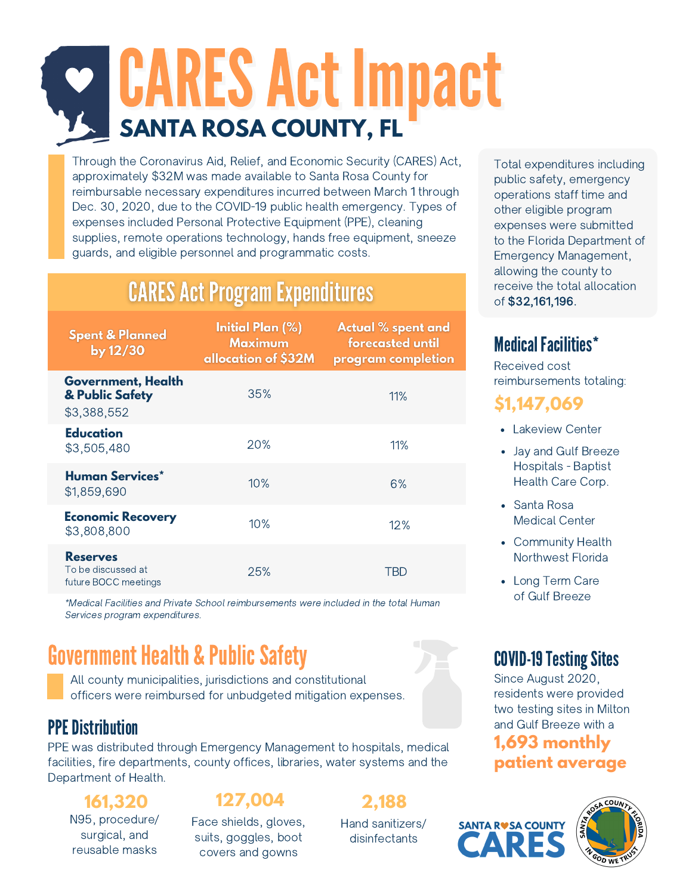# CARES Act Impact **SANTA ROSA COUNTY, FL**

Through the Coronavirus Aid, Relief, and Economic Security (CARES) Act, approximately \$32M was made available to Santa Rosa County for reimbursable necessary expenditures incurred between March 1 through Dec. 30, 2020, due to the COVID-19 public health emergency. Types of expenses included Personal Protective Equipment (PPE), cleaning supplies, remote operations technology, hands free equipment, sneeze guards, and eligible personnel and programmatic costs.

### **CARES Act Program Expenditures**

| <b>Spent &amp; Planned</b><br>by $12/30$                      | Initial Plan (%)<br><b>Maximum</b><br>allocation of \$32M | Actual % spent and<br>forecasted until<br>program completion |
|---------------------------------------------------------------|-----------------------------------------------------------|--------------------------------------------------------------|
| <b>Government, Health</b><br>& Public Safety<br>\$3,388,552   | 35%                                                       | 11%                                                          |
| Education<br>\$3,505,480                                      | 20%                                                       | 11%                                                          |
| Human Services*<br>\$1,859,690                                | 10%                                                       | 6%                                                           |
| <b>Economic Recovery</b><br>\$3,808,800                       | 10%                                                       | 12%                                                          |
| <b>Reserves</b><br>To be discussed at<br>future BOCC meetings | 25%                                                       | TBD                                                          |

\*Medical Facilities and Private School reimbursements were included in the total Human Services program expenditures.

### **Government Health & Public Safety**

All county municipalities, jurisdictions and constitutional officers were reimbursed for unbudgeted mitigation expenses.

### **PPE Distribution**

PPE was distributed through Emergency Management to hospitals, medical facilities, fire departments, county offices, libraries, water systems and the Department of Health.

## N95, procedure/

surgical, and reusable masks

**161,320 127,004 2,188**

Face shields, gloves, suits, goggles, boot covers and gowns

Hand sanitizers/ disinfectants

Total expenditures including public safety, emergency operations staff time and other eligible program expenses were submitted to the Florida Department of Emergency Management, allowing the county to receive the total allocation of \$32,161,196.

### Medical Facilities\*

Received cost reimbursements totaling:

### **\$1,147,069**

- Lakeview Center
- Jay and Gulf Breeze Hospitals - Baptist Health Care Corp.
- Santa Rosa Medical Center
- Community Health Northwest Florida
- Long Term Care of Gulf Breeze

### **COVID-19 Testing Sites**

Since August 2020, residents were provided two testing sites in Milton and Gulf Breeze with a

### **1,693 monthly patient average**

**SANTA RUSA COUNTY**